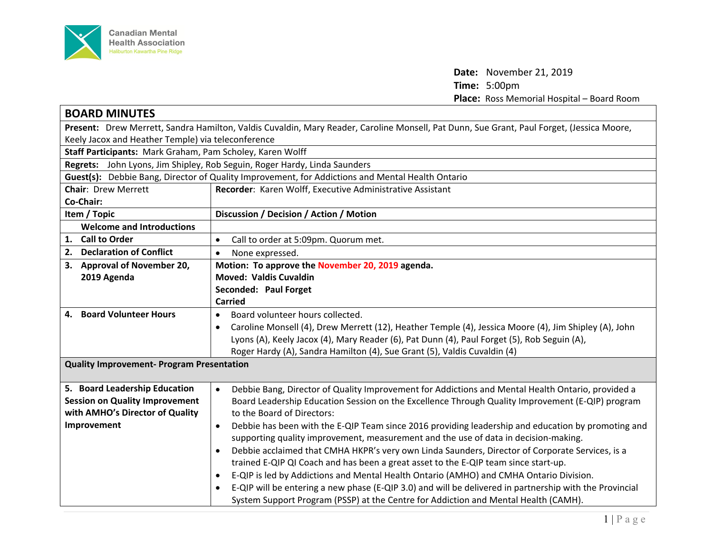

**Date:** November 21, 2019 **Time:** 5:00pm **Place:** Ross Memorial Hospital – Board Room

| <b>BOARD MINUTES</b>                                                                                                                      |                                                                                                                      |  |
|-------------------------------------------------------------------------------------------------------------------------------------------|----------------------------------------------------------------------------------------------------------------------|--|
| Present: Drew Merrett, Sandra Hamilton, Valdis Cuvaldin, Mary Reader, Caroline Monsell, Pat Dunn, Sue Grant, Paul Forget, (Jessica Moore, |                                                                                                                      |  |
| Keely Jacox and Heather Temple) via teleconference                                                                                        |                                                                                                                      |  |
| Staff Participants: Mark Graham, Pam Scholey, Karen Wolff                                                                                 |                                                                                                                      |  |
| Regrets: John Lyons, Jim Shipley, Rob Seguin, Roger Hardy, Linda Saunders                                                                 |                                                                                                                      |  |
| Guest(s): Debbie Bang, Director of Quality Improvement, for Addictions and Mental Health Ontario                                          |                                                                                                                      |  |
| <b>Chair: Drew Merrett</b>                                                                                                                | Recorder: Karen Wolff, Executive Administrative Assistant                                                            |  |
| Co-Chair:                                                                                                                                 |                                                                                                                      |  |
| Item / Topic                                                                                                                              | Discussion / Decision / Action / Motion                                                                              |  |
| <b>Welcome and Introductions</b>                                                                                                          |                                                                                                                      |  |
| 1. Call to Order                                                                                                                          | Call to order at 5:09pm. Quorum met.<br>$\bullet$                                                                    |  |
| 2. Declaration of Conflict                                                                                                                | None expressed.<br>$\bullet$                                                                                         |  |
| 3. Approval of November 20,                                                                                                               | Motion: To approve the November 20, 2019 agenda.                                                                     |  |
| 2019 Agenda                                                                                                                               | <b>Moved: Valdis Cuvaldin</b>                                                                                        |  |
|                                                                                                                                           | Seconded: Paul Forget                                                                                                |  |
|                                                                                                                                           | <b>Carried</b>                                                                                                       |  |
| 4. Board Volunteer Hours                                                                                                                  | Board volunteer hours collected.<br>$\bullet$                                                                        |  |
|                                                                                                                                           | Caroline Monsell (4), Drew Merrett (12), Heather Temple (4), Jessica Moore (4), Jim Shipley (A), John<br>$\bullet$   |  |
|                                                                                                                                           | Lyons (A), Keely Jacox (4), Mary Reader (6), Pat Dunn (4), Paul Forget (5), Rob Seguin (A),                          |  |
|                                                                                                                                           | Roger Hardy (A), Sandra Hamilton (4), Sue Grant (5), Valdis Cuvaldin (4)                                             |  |
| <b>Quality Improvement- Program Presentation</b>                                                                                          |                                                                                                                      |  |
|                                                                                                                                           |                                                                                                                      |  |
| 5. Board Leadership Education                                                                                                             | Debbie Bang, Director of Quality Improvement for Addictions and Mental Health Ontario, provided a                    |  |
| <b>Session on Quality Improvement</b>                                                                                                     | Board Leadership Education Session on the Excellence Through Quality Improvement (E-QIP) program                     |  |
| with AMHO's Director of Quality                                                                                                           | to the Board of Directors:                                                                                           |  |
| Improvement                                                                                                                               | Debbie has been with the E-QIP Team since 2016 providing leadership and education by promoting and<br>$\bullet$      |  |
|                                                                                                                                           | supporting quality improvement, measurement and the use of data in decision-making.                                  |  |
|                                                                                                                                           | Debbie acclaimed that CMHA HKPR's very own Linda Saunders, Director of Corporate Services, is a<br>$\bullet$         |  |
|                                                                                                                                           | trained E-QIP QI Coach and has been a great asset to the E-QIP team since start-up.                                  |  |
|                                                                                                                                           | E-QIP is led by Addictions and Mental Health Ontario (AMHO) and CMHA Ontario Division.<br>$\bullet$                  |  |
|                                                                                                                                           | E-QIP will be entering a new phase (E-QIP 3.0) and will be delivered in partnership with the Provincial<br>$\bullet$ |  |
|                                                                                                                                           | System Support Program (PSSP) at the Centre for Addiction and Mental Health (CAMH).                                  |  |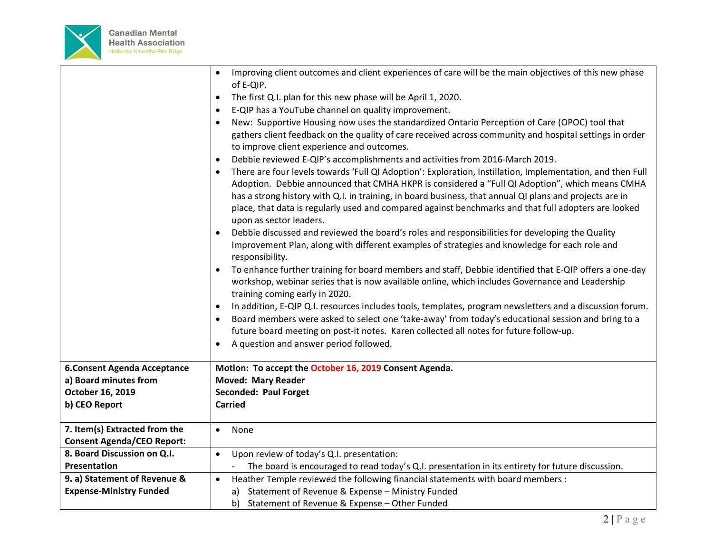

|                                     | Improving client outcomes and client experiences of care will be the main objectives of this new phase<br>$\bullet$<br>of E-QIP.                                                                                                                                                                                                             |
|-------------------------------------|----------------------------------------------------------------------------------------------------------------------------------------------------------------------------------------------------------------------------------------------------------------------------------------------------------------------------------------------|
|                                     | The first Q.I. plan for this new phase will be April 1, 2020.<br>$\bullet$                                                                                                                                                                                                                                                                   |
|                                     | E-QIP has a YouTube channel on quality improvement.<br>$\bullet$                                                                                                                                                                                                                                                                             |
|                                     | New: Supportive Housing now uses the standardized Ontario Perception of Care (OPOC) tool that<br>$\bullet$                                                                                                                                                                                                                                   |
|                                     | gathers client feedback on the quality of care received across community and hospital settings in order<br>to improve client experience and outcomes.                                                                                                                                                                                        |
|                                     | Debbie reviewed E-QIP's accomplishments and activities from 2016-March 2019.<br>$\bullet$                                                                                                                                                                                                                                                    |
|                                     | There are four levels towards 'Full QI Adoption': Exploration, Instillation, Implementation, and then Full<br>$\bullet$                                                                                                                                                                                                                      |
|                                     | Adoption. Debbie announced that CMHA HKPR is considered a "Full QI Adoption", which means CMHA<br>has a strong history with Q.I. in training, in board business, that annual QI plans and projects are in<br>place, that data is regularly used and compared against benchmarks and that full adopters are looked<br>upon as sector leaders. |
|                                     | Debbie discussed and reviewed the board's roles and responsibilities for developing the Quality<br>$\bullet$<br>Improvement Plan, along with different examples of strategies and knowledge for each role and<br>responsibility.                                                                                                             |
|                                     | To enhance further training for board members and staff, Debbie identified that E-QIP offers a one-day<br>workshop, webinar series that is now available online, which includes Governance and Leadership<br>training coming early in 2020.                                                                                                  |
|                                     | In addition, E-QIP Q.I. resources includes tools, templates, program newsletters and a discussion forum.<br>$\bullet$<br>Board members were asked to select one 'take-away' from today's educational session and bring to a                                                                                                                  |
|                                     | future board meeting on post-it notes. Karen collected all notes for future follow-up.                                                                                                                                                                                                                                                       |
|                                     | A question and answer period followed.<br>$\bullet$                                                                                                                                                                                                                                                                                          |
| <b>6. Consent Agenda Acceptance</b> | Motion: To accept the October 16, 2019 Consent Agenda.                                                                                                                                                                                                                                                                                       |
| a) Board minutes from               | <b>Moved: Mary Reader</b>                                                                                                                                                                                                                                                                                                                    |
| October 16, 2019                    | Seconded: Paul Forget                                                                                                                                                                                                                                                                                                                        |
| b) CEO Report                       | <b>Carried</b>                                                                                                                                                                                                                                                                                                                               |
| 7. Item(s) Extracted from the       | None<br>$\bullet$                                                                                                                                                                                                                                                                                                                            |
| <b>Consent Agenda/CEO Report:</b>   |                                                                                                                                                                                                                                                                                                                                              |
| 8. Board Discussion on Q.I.         | Upon review of today's Q.I. presentation:<br>$\bullet$                                                                                                                                                                                                                                                                                       |
| <b>Presentation</b>                 | The board is encouraged to read today's Q.I. presentation in its entirety for future discussion.                                                                                                                                                                                                                                             |
| 9. a) Statement of Revenue &        | Heather Temple reviewed the following financial statements with board members :<br>$\bullet$                                                                                                                                                                                                                                                 |
| <b>Expense-Ministry Funded</b>      | Statement of Revenue & Expense - Ministry Funded<br>a)                                                                                                                                                                                                                                                                                       |
|                                     | b) Statement of Revenue & Expense - Other Funded                                                                                                                                                                                                                                                                                             |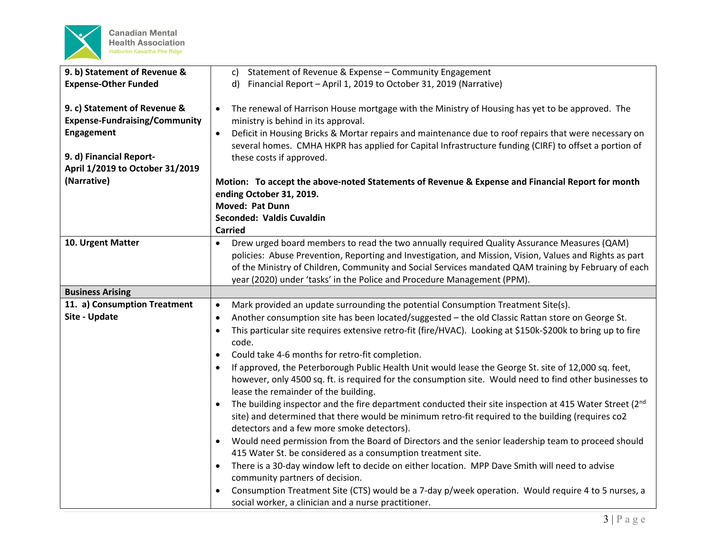

| 9. b) Statement of Revenue &         | Statement of Revenue & Expense - Community Engagement<br>c)                                                              |
|--------------------------------------|--------------------------------------------------------------------------------------------------------------------------|
| <b>Expense-Other Funded</b>          | Financial Report - April 1, 2019 to October 31, 2019 (Narrative)<br>$\mathsf{d}$                                         |
|                                      |                                                                                                                          |
| 9. c) Statement of Revenue &         | The renewal of Harrison House mortgage with the Ministry of Housing has yet to be approved. The<br>$\bullet$             |
| <b>Expense-Fundraising/Community</b> | ministry is behind in its approval.                                                                                      |
| Engagement                           | Deficit in Housing Bricks & Mortar repairs and maintenance due to roof repairs that were necessary on<br>$\bullet$       |
|                                      | several homes. CMHA HKPR has applied for Capital Infrastructure funding (CIRF) to offset a portion of                    |
| 9. d) Financial Report-              | these costs if approved.                                                                                                 |
| April 1/2019 to October 31/2019      |                                                                                                                          |
| (Narrative)                          | Motion: To accept the above-noted Statements of Revenue & Expense and Financial Report for month                         |
|                                      | ending October 31, 2019.                                                                                                 |
|                                      | <b>Moved: Pat Dunn</b>                                                                                                   |
|                                      | Seconded: Valdis Cuvaldin                                                                                                |
|                                      | <b>Carried</b>                                                                                                           |
| 10. Urgent Matter                    | Drew urged board members to read the two annually required Quality Assurance Measures (QAM)<br>$\bullet$                 |
|                                      | policies: Abuse Prevention, Reporting and Investigation, and Mission, Vision, Values and Rights as part                  |
|                                      | of the Ministry of Children, Community and Social Services mandated QAM training by February of each                     |
|                                      | year (2020) under 'tasks' in the Police and Procedure Management (PPM).                                                  |
|                                      |                                                                                                                          |
| <b>Business Arising</b>              |                                                                                                                          |
| 11. a) Consumption Treatment         | Mark provided an update surrounding the potential Consumption Treatment Site(s).<br>$\bullet$                            |
| Site - Update                        | Another consumption site has been located/suggested - the old Classic Rattan store on George St.<br>$\bullet$            |
|                                      | This particular site requires extensive retro-fit (fire/HVAC). Looking at \$150k-\$200k to bring up to fire<br>$\bullet$ |
|                                      | code.                                                                                                                    |
|                                      | Could take 4-6 months for retro-fit completion.<br>$\bullet$                                                             |
|                                      | If approved, the Peterborough Public Health Unit would lease the George St. site of 12,000 sq. feet,                     |
|                                      | however, only 4500 sq. ft. is required for the consumption site. Would need to find other businesses to                  |
|                                      | lease the remainder of the building.                                                                                     |
|                                      | The building inspector and the fire department conducted their site inspection at 415 Water Street (2nd<br>$\bullet$     |
|                                      | site) and determined that there would be minimum retro-fit required to the building (requires co2                        |
|                                      | detectors and a few more smoke detectors).                                                                               |
|                                      | Would need permission from the Board of Directors and the senior leadership team to proceed should<br>$\bullet$          |
|                                      | 415 Water St. be considered as a consumption treatment site.                                                             |
|                                      | There is a 30-day window left to decide on either location. MPP Dave Smith will need to advise                           |
|                                      | community partners of decision.                                                                                          |
|                                      | Consumption Treatment Site (CTS) would be a 7-day p/week operation. Would require 4 to 5 nurses, a                       |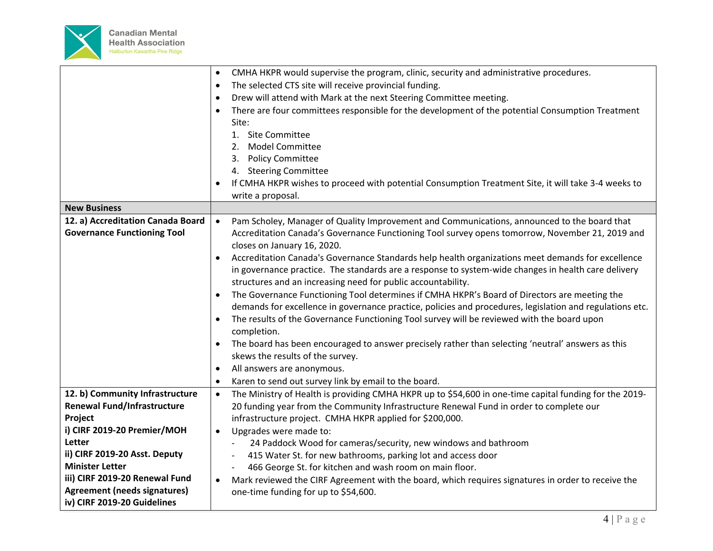

|                                     | CMHA HKPR would supervise the program, clinic, security and administrative procedures.                              |
|-------------------------------------|---------------------------------------------------------------------------------------------------------------------|
|                                     | The selected CTS site will receive provincial funding.<br>$\bullet$                                                 |
|                                     | Drew will attend with Mark at the next Steering Committee meeting.                                                  |
|                                     | There are four committees responsible for the development of the potential Consumption Treatment<br>$\bullet$       |
|                                     | Site:                                                                                                               |
|                                     | 1. Site Committee                                                                                                   |
|                                     | 2. Model Committee                                                                                                  |
|                                     | 3. Policy Committee                                                                                                 |
|                                     | 4. Steering Committee                                                                                               |
|                                     | If CMHA HKPR wishes to proceed with potential Consumption Treatment Site, it will take 3-4 weeks to                 |
|                                     | write a proposal.                                                                                                   |
| <b>New Business</b>                 |                                                                                                                     |
| 12. a) Accreditation Canada Board   | Pam Scholey, Manager of Quality Improvement and Communications, announced to the board that<br>$\bullet$            |
| <b>Governance Functioning Tool</b>  | Accreditation Canada's Governance Functioning Tool survey opens tomorrow, November 21, 2019 and                     |
|                                     | closes on January 16, 2020.                                                                                         |
|                                     | Accreditation Canada's Governance Standards help health organizations meet demands for excellence                   |
|                                     | in governance practice. The standards are a response to system-wide changes in health care delivery                 |
|                                     | structures and an increasing need for public accountability.                                                        |
|                                     | The Governance Functioning Tool determines if CMHA HKPR's Board of Directors are meeting the<br>$\bullet$           |
|                                     | demands for excellence in governance practice, policies and procedures, legislation and regulations etc.            |
|                                     | The results of the Governance Functioning Tool survey will be reviewed with the board upon                          |
|                                     | completion.                                                                                                         |
|                                     | The board has been encouraged to answer precisely rather than selecting 'neutral' answers as this                   |
|                                     | skews the results of the survey.                                                                                    |
|                                     | All answers are anonymous.<br>$\bullet$                                                                             |
|                                     | Karen to send out survey link by email to the board.<br>$\bullet$                                                   |
| 12. b) Community Infrastructure     | The Ministry of Health is providing CMHA HKPR up to \$54,600 in one-time capital funding for the 2019-<br>$\bullet$ |
| <b>Renewal Fund/Infrastructure</b>  | 20 funding year from the Community Infrastructure Renewal Fund in order to complete our                             |
| Project                             | infrastructure project. CMHA HKPR applied for \$200,000.                                                            |
| i) CIRF 2019-20 Premier/MOH         | Upgrades were made to:<br>$\bullet$                                                                                 |
| Letter                              | 24 Paddock Wood for cameras/security, new windows and bathroom<br>$\overline{\phantom{a}}$                          |
| ii) CIRF 2019-20 Asst. Deputy       | 415 Water St. for new bathrooms, parking lot and access door                                                        |
| <b>Minister Letter</b>              | 466 George St. for kitchen and wash room on main floor.                                                             |
| iii) CIRF 2019-20 Renewal Fund      | Mark reviewed the CIRF Agreement with the board, which requires signatures in order to receive the<br>$\bullet$     |
| <b>Agreement (needs signatures)</b> | one-time funding for up to \$54,600.                                                                                |
| iv) CIRF 2019-20 Guidelines         |                                                                                                                     |